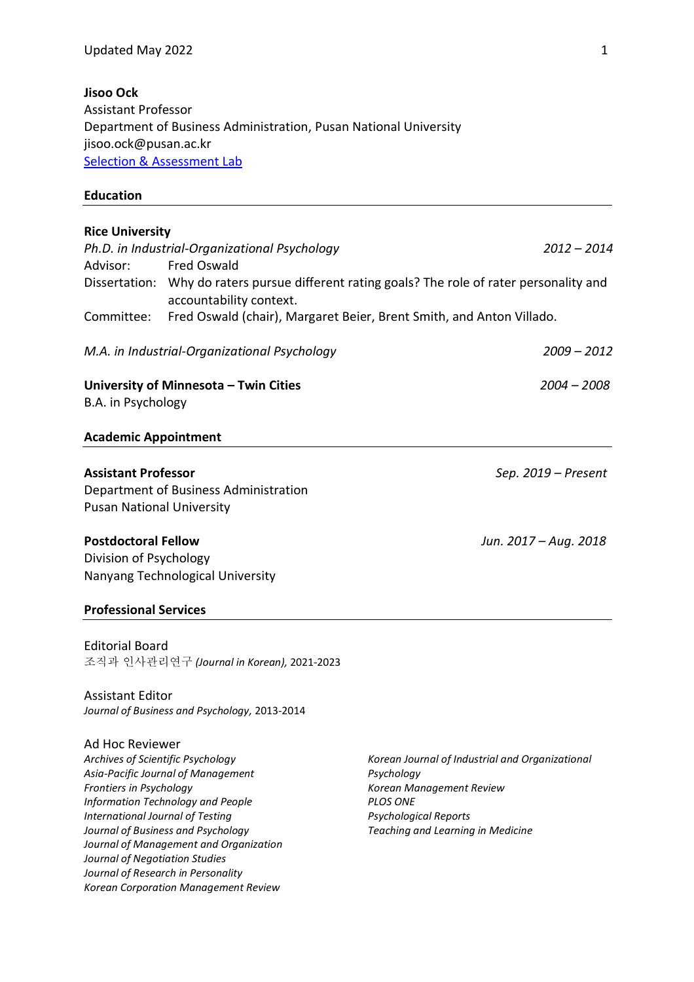#### **Jisoo Ock**

Assistant Professor Department of Business Administration, Pusan National University jisoo.ock@pusan.ac.kr [Selection & Assessment Lab](http://sna-lab.net/)

#### **Education**

*Korean Corporation Management Review*

# **Rice University** *Ph.D. in Industrial-Organizational Psychology 2012 – 2014* Advisor: Fred Oswald Dissertation: Why do raters pursue different rating goals? The role of rater personality and accountability context. Committee: Fred Oswald (chair), Margaret Beier, Brent Smith, and Anton Villado. *M.A. in Industrial-Organizational Psychology 2009 – 2012* **University of Minnesota – Twin Cities** *2004 – 2008* B.A. in Psychology **Academic Appointment Assistant Professor** *Sep. 2019 – Present* Department of Business Administration Pusan National University **Postdoctoral Fellow** *Jun. 2017 – Aug. 2018* Division of Psychology Nanyang Technological University **Professional Services** Editorial Board 조직과 인사관리연구 *(Journal in Korean),* 2021-2023 Assistant Editor *Journal of Business and Psychology,* 2013-2014 Ad Hoc Reviewer *Archives of Scientific Psychology Asia-Pacific Journal of Management Frontiers in Psychology Information Technology and People International Journal of Testing Journal of Business and Psychology Journal of Management and Organization Journal of Negotiation Studies Journal of Research in Personality Korean Journal of Industrial and Organizational Psychology Korean Management Review PLOS ONE Psychological Reports Teaching and Learning in Medicine*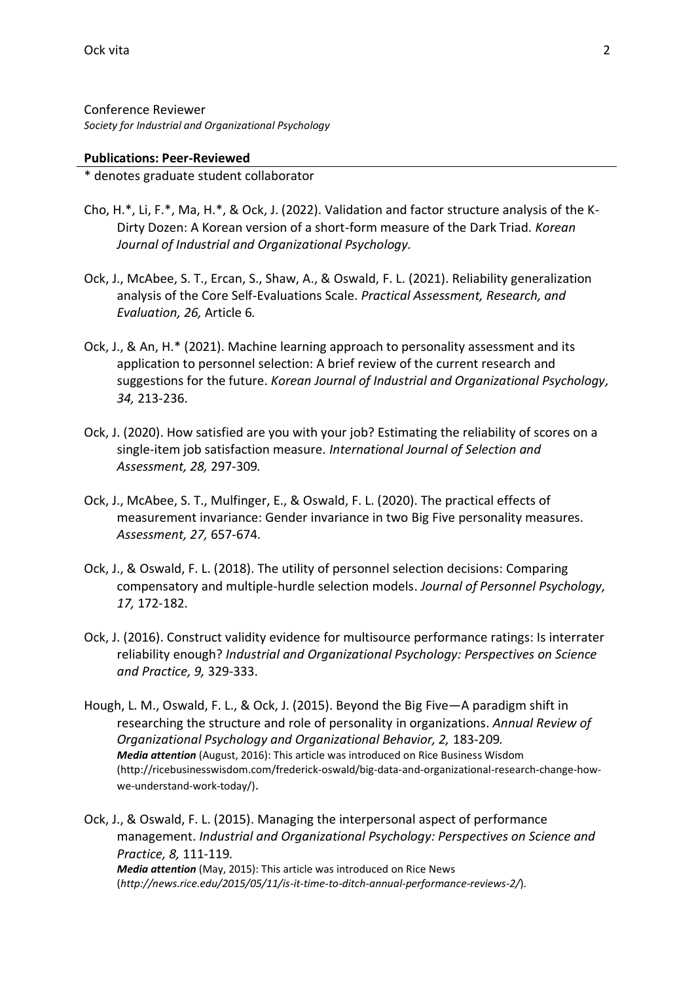Conference Reviewer *Society for Industrial and Organizational Psychology*

#### **Publications: Peer-Reviewed**

\* denotes graduate student collaborator

- Cho, H.\*, Li, F.\*, Ma, H.\*, & Ock, J. (2022). Validation and factor structure analysis of the K-Dirty Dozen: A Korean version of a short-form measure of the Dark Triad. *Korean Journal of Industrial and Organizational Psychology.*
- Ock, J., McAbee, S. T., Ercan, S., Shaw, A., & Oswald, F. L. (2021). Reliability generalization analysis of the Core Self-Evaluations Scale. *Practical Assessment, Research, and Evaluation, 26,* Article 6*.*
- Ock, J., & An, H.\* (2021). Machine learning approach to personality assessment and its application to personnel selection: A brief review of the current research and suggestions for the future. *Korean Journal of Industrial and Organizational Psychology, 34,* 213-236.
- Ock, J. (2020). How satisfied are you with your job? Estimating the reliability of scores on a single-item job satisfaction measure. *International Journal of Selection and Assessment, 28,* 297-309*.*
- Ock, J., McAbee, S. T., Mulfinger, E., & Oswald, F. L. (2020). The practical effects of measurement invariance: Gender invariance in two Big Five personality measures. *Assessment, 27,* 657-674.
- Ock, J., & Oswald, F. L. (2018). The utility of personnel selection decisions: Comparing compensatory and multiple-hurdle selection models. *Journal of Personnel Psychology, 17,* 172-182.
- Ock, J. (2016). Construct validity evidence for multisource performance ratings: Is interrater reliability enough? *Industrial and Organizational Psychology: Perspectives on Science and Practice, 9,* 329-333.
- Hough, L. M., Oswald, F. L., & Ock, J. (2015). Beyond the Big Five—A paradigm shift in researching the structure and role of personality in organizations. *Annual Review of Organizational Psychology and Organizational Behavior, 2,* 183-209*. Media attention* (August, 2016): This article was introduced on Rice Business Wisdom (http://ricebusinesswisdom.com/frederick-oswald/big-data-and-organizational-research-change-howwe-understand-work-today/).

Ock, J., & Oswald, F. L. (2015). Managing the interpersonal aspect of performance management. *Industrial and Organizational Psychology: Perspectives on Science and Practice, 8,* 111-119*. Media attention* (May, 2015): This article was introduced on Rice News (*http://news.rice.edu/2015/05/11/is-it-time-to-ditch-annual-performance-reviews-2/*).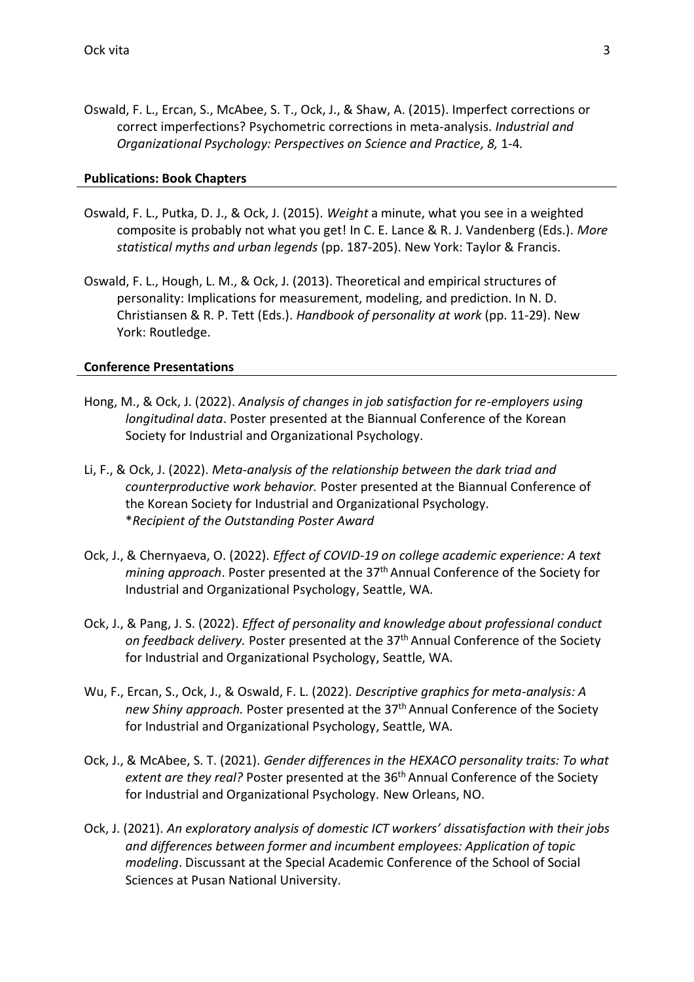Oswald, F. L., Ercan, S., McAbee, S. T., Ock, J., & Shaw, A. (2015). Imperfect corrections or correct imperfections? Psychometric corrections in meta-analysis. *Industrial and Organizational Psychology: Perspectives on Science and Practice, 8,* 1-4*.* 

### **Publications: Book Chapters**

- Oswald, F. L., Putka, D. J., & Ock, J. (2015). *Weight* a minute, what you see in a weighted composite is probably not what you get! In C. E. Lance & R. J. Vandenberg (Eds.). *More statistical myths and urban legends* (pp. 187-205). New York: Taylor & Francis.
- Oswald, F. L., Hough, L. M., & Ock, J. (2013). Theoretical and empirical structures of personality: Implications for measurement, modeling, and prediction. In N. D. Christiansen & R. P. Tett (Eds.). *Handbook of personality at work* (pp. 11-29). New York: Routledge.

### **Conference Presentations**

- Hong, M., & Ock, J. (2022). *Analysis of changes in job satisfaction for re-employers using longitudinal data*. Poster presented at the Biannual Conference of the Korean Society for Industrial and Organizational Psychology.
- Li, F., & Ock, J. (2022). *Meta-analysis of the relationship between the dark triad and counterproductive work behavior.* Poster presented at the Biannual Conference of the Korean Society for Industrial and Organizational Psychology. \**Recipient of the Outstanding Poster Award*
- Ock, J., & Chernyaeva, O. (2022). *Effect of COVID-19 on college academic experience: A text*  mining approach. Poster presented at the 37<sup>th</sup> Annual Conference of the Society for Industrial and Organizational Psychology, Seattle, WA.
- Ock, J., & Pang, J. S. (2022). *Effect of personality and knowledge about professional conduct*  on feedback delivery. Poster presented at the 37<sup>th</sup> Annual Conference of the Society for Industrial and Organizational Psychology, Seattle, WA.
- Wu, F., Ercan, S., Ock, J., & Oswald, F. L. (2022). *Descriptive graphics for meta-analysis: A*  new Shiny approach. Poster presented at the 37<sup>th</sup> Annual Conference of the Society for Industrial and Organizational Psychology, Seattle, WA.
- Ock, J., & McAbee, S. T. (2021). *Gender differences in the HEXACO personality traits: To what extent are they real?* Poster presented at the 36th Annual Conference of the Society for Industrial and Organizational Psychology. New Orleans, NO.
- Ock, J. (2021). *An exploratory analysis of domestic ICT workers' dissatisfaction with their jobs and differences between former and incumbent employees: Application of topic modeling*. Discussant at the Special Academic Conference of the School of Social Sciences at Pusan National University.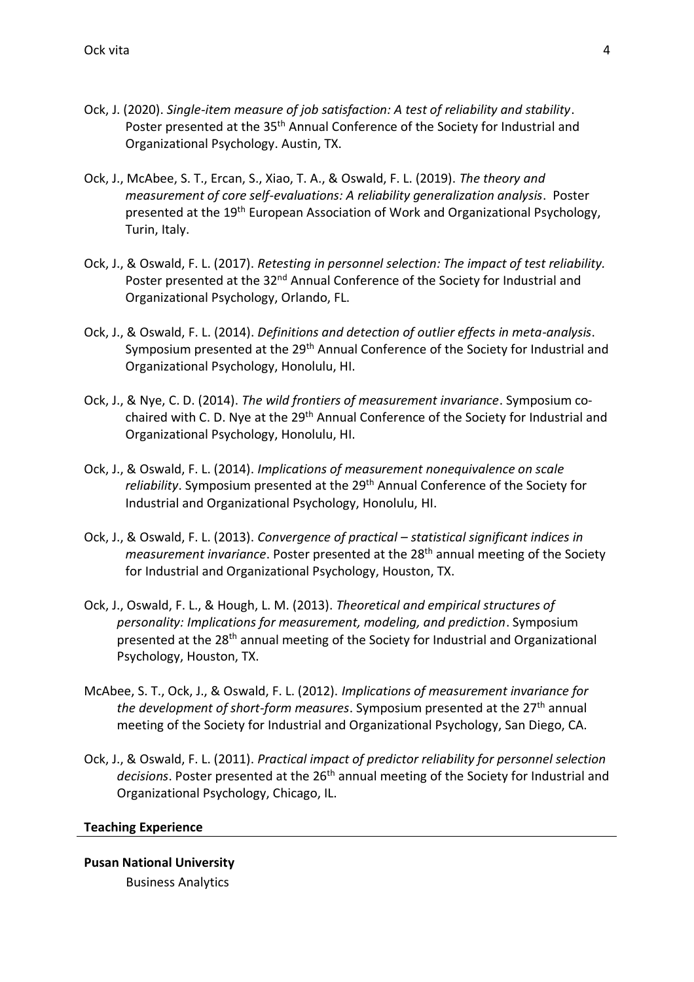- Ock, J. (2020). *Single-item measure of job satisfaction: A test of reliability and stability*. Poster presented at the 35<sup>th</sup> Annual Conference of the Society for Industrial and Organizational Psychology. Austin, TX.
- Ock, J., McAbee, S. T., Ercan, S., Xiao, T. A., & Oswald, F. L. (2019). *The theory and measurement of core self-evaluations: A reliability generalization analysis*. Poster presented at the 19th European Association of Work and Organizational Psychology, Turin, Italy.
- Ock, J., & Oswald, F. L. (2017). *Retesting in personnel selection: The impact of test reliability.*  Poster presented at the 32<sup>nd</sup> Annual Conference of the Society for Industrial and Organizational Psychology, Orlando, FL.
- Ock, J., & Oswald, F. L. (2014). *Definitions and detection of outlier effects in meta-analysis*. Symposium presented at the 29<sup>th</sup> Annual Conference of the Society for Industrial and Organizational Psychology, Honolulu, HI.
- Ock, J., & Nye, C. D. (2014). *The wild frontiers of measurement invariance*. Symposium cochaired with C. D. Nye at the 29<sup>th</sup> Annual Conference of the Society for Industrial and Organizational Psychology, Honolulu, HI.
- Ock, J., & Oswald, F. L. (2014). *Implications of measurement nonequivalence on scale*  reliability. Symposium presented at the 29<sup>th</sup> Annual Conference of the Society for Industrial and Organizational Psychology, Honolulu, HI.
- Ock, J., & Oswald, F. L. (2013). *Convergence of practical – statistical significant indices in measurement invariance*. Poster presented at the 28<sup>th</sup> annual meeting of the Society for Industrial and Organizational Psychology, Houston, TX.
- Ock, J., Oswald, F. L., & Hough, L. M. (2013). *Theoretical and empirical structures of personality: Implications for measurement, modeling, and prediction*. Symposium presented at the 28th annual meeting of the Society for Industrial and Organizational Psychology, Houston, TX.
- McAbee, S. T., Ock, J., & Oswald, F. L. (2012). *Implications of measurement invariance for the development of short-form measures*. Symposium presented at the 27<sup>th</sup> annual meeting of the Society for Industrial and Organizational Psychology, San Diego, CA.
- Ock, J., & Oswald, F. L. (2011). *Practical impact of predictor reliability for personnel selection*  decisions. Poster presented at the 26<sup>th</sup> annual meeting of the Society for Industrial and Organizational Psychology, Chicago, IL.

### **Teaching Experience**

# **Pusan National University**  Business Analytics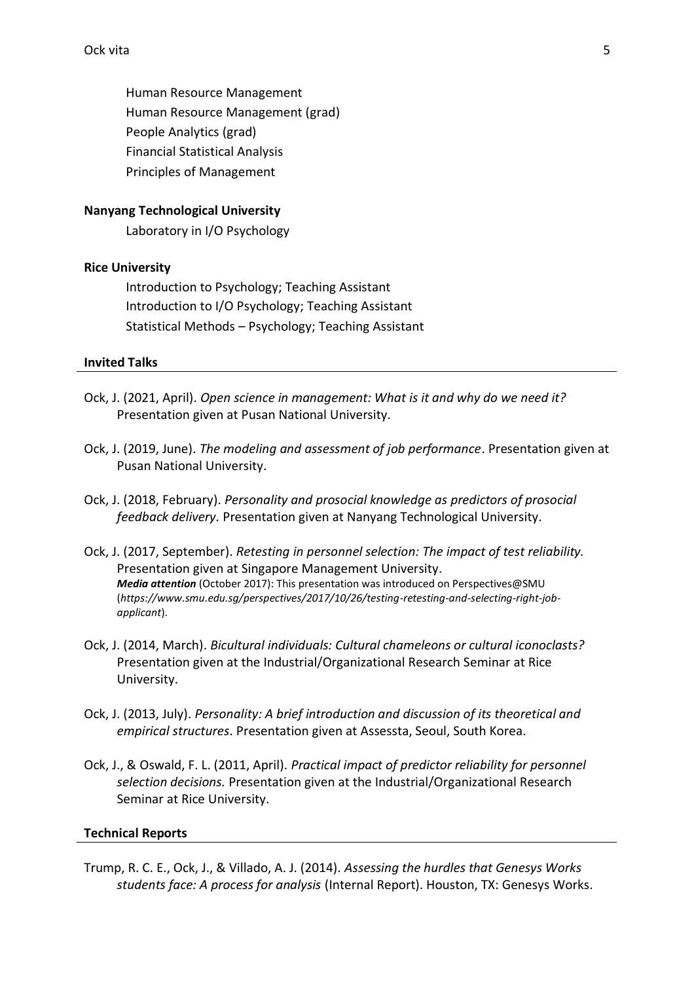Human Resource Management Human Resource Management (grad) People Analytics (grad) Financial Statistical Analysis Principles of Management

# **Nanyang Technological University**

Laboratory in I/O Psychology

### **Rice University**

Introduction to Psychology; Teaching Assistant Introduction to I/O Psychology; Teaching Assistant Statistical Methods – Psychology; Teaching Assistant

#### **Invited Talks**

- Ock, J. (2021, April). *Open science in management: What is it and why do we need it?*  Presentation given at Pusan National University.
- Ock, J. (2019, June). *The modeling and assessment of job performance*. Presentation given at Pusan National University.
- Ock, J. (2018, February). *Personality and prosocial knowledge as predictors of prosocial feedback delivery.* Presentation given at Nanyang Technological University.
- Ock, J. (2017, September). *Retesting in personnel selection: The impact of test reliability.* Presentation given at Singapore Management University. *Media attention* (October 2017): This presentation was introduced on Perspectives@SMU (*https://www.smu.edu.sg/perspectives/2017/10/26/testing-retesting-and-selecting-right-jobapplicant*).
- Ock, J. (2014, March). *Bicultural individuals: Cultural chameleons or cultural iconoclasts?* Presentation given at the Industrial/Organizational Research Seminar at Rice University.
- Ock, J. (2013, July). *Personality: A brief introduction and discussion of its theoretical and empirical structures*. Presentation given at Assessta, Seoul, South Korea.
- Ock, J., & Oswald, F. L. (2011, April). *Practical impact of predictor reliability for personnel selection decisions.* Presentation given at the Industrial/Organizational Research Seminar at Rice University.

### **Technical Reports**

Trump, R. C. E., Ock, J., & Villado, A. J. (2014). *Assessing the hurdles that Genesys Works students face: A process for analysis* (Internal Report). Houston, TX: Genesys Works.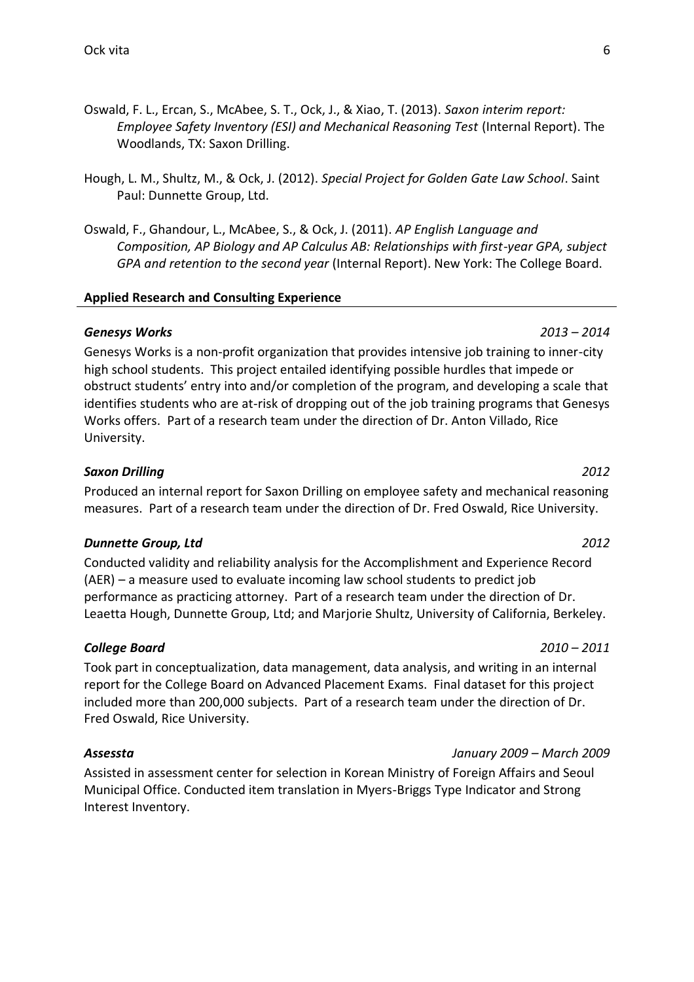- Oswald, F. L., Ercan, S., McAbee, S. T., Ock, J., & Xiao, T. (2013). *Saxon interim report: Employee Safety Inventory (ESI) and Mechanical Reasoning Test* (Internal Report). The Woodlands, TX: Saxon Drilling.
- Hough, L. M., Shultz, M., & Ock, J. (2012). *Special Project for Golden Gate Law School*. Saint Paul: Dunnette Group, Ltd.
- Oswald, F., Ghandour, L., McAbee, S., & Ock, J. (2011). *AP English Language and Composition, AP Biology and AP Calculus AB: Relationships with first-year GPA, subject GPA and retention to the second year* (Internal Report). New York: The College Board.

#### **Applied Research and Consulting Experience**

#### *Genesys Works 2013 – 2014*

Genesys Works is a non-profit organization that provides intensive job training to inner-city high school students. This project entailed identifying possible hurdles that impede or obstruct students' entry into and/or completion of the program, and developing a scale that identifies students who are at-risk of dropping out of the job training programs that Genesys Works offers. Part of a research team under the direction of Dr. Anton Villado, Rice University.

#### *Saxon Drilling 2012*

Produced an internal report for Saxon Drilling on employee safety and mechanical reasoning measures. Part of a research team under the direction of Dr. Fred Oswald, Rice University.

#### *Dunnette Group, Ltd 2012*

Conducted validity and reliability analysis for the Accomplishment and Experience Record (AER) – a measure used to evaluate incoming law school students to predict job performance as practicing attorney. Part of a research team under the direction of Dr. Leaetta Hough, Dunnette Group, Ltd; and Marjorie Shultz, University of California, Berkeley.

### *College Board 2010 – 2011*

Took part in conceptualization, data management, data analysis, and writing in an internal report for the College Board on Advanced Placement Exams. Final dataset for this project included more than 200,000 subjects. Part of a research team under the direction of Dr. Fred Oswald, Rice University.

Assisted in assessment center for selection in Korean Ministry of Foreign Affairs and Seoul Municipal Office. Conducted item translation in Myers-Briggs Type Indicator and Strong Interest Inventory.

# *Assessta January 2009 – March 2009*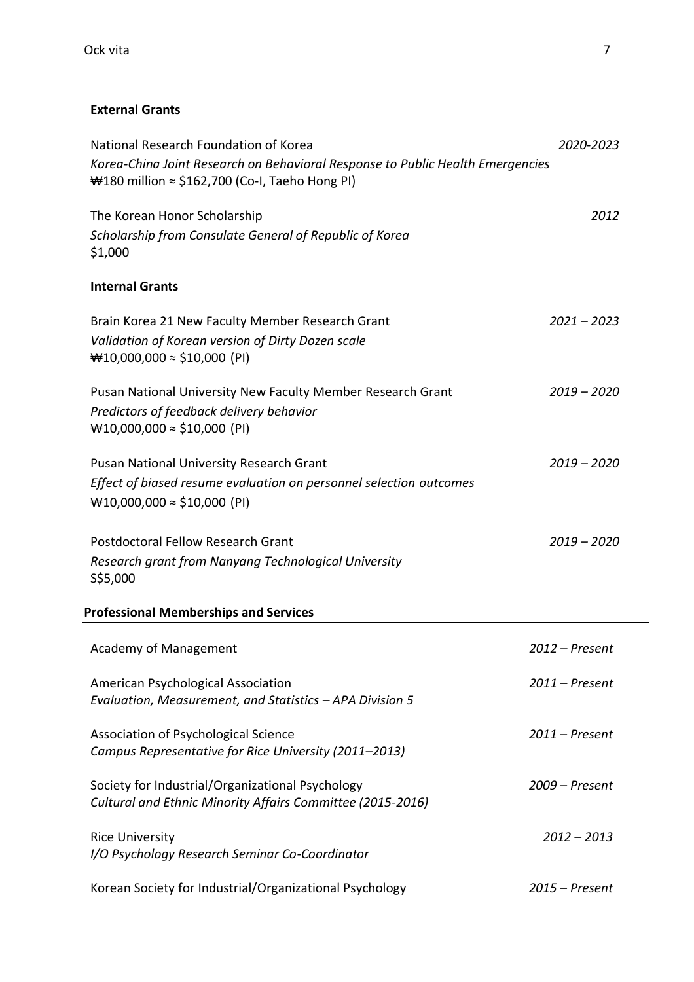# **External Grants**

| National Research Foundation of Korea                                                                                                    | 2020-2023        |
|------------------------------------------------------------------------------------------------------------------------------------------|------------------|
| Korea-China Joint Research on Behavioral Response to Public Health Emergencies<br>₩180 million $\approx$ \$162,700 (Co-I, Taeho Hong PI) |                  |
| The Korean Honor Scholarship                                                                                                             | 2012             |
| Scholarship from Consulate General of Republic of Korea<br>\$1,000                                                                       |                  |
| <b>Internal Grants</b>                                                                                                                   |                  |
| Brain Korea 21 New Faculty Member Research Grant                                                                                         | $2021 - 2023$    |
| Validation of Korean version of Dirty Dozen scale<br>₩10,000,000 $\approx$ \$10,000 (PI)                                                 |                  |
| Pusan National University New Faculty Member Research Grant                                                                              | $2019 - 2020$    |
| Predictors of feedback delivery behavior<br>₩10,000,000 ≈ \$10,000 (PI)                                                                  |                  |
| <b>Pusan National University Research Grant</b>                                                                                          | $2019 - 2020$    |
| Effect of biased resume evaluation on personnel selection outcomes<br>₩10,000,000 $\approx$ \$10,000 (PI)                                |                  |
| <b>Postdoctoral Fellow Research Grant</b>                                                                                                | $2019 - 2020$    |
| Research grant from Nanyang Technological University<br>\$\$5,000                                                                        |                  |
| <b>Professional Memberships and Services</b>                                                                                             |                  |
| <b>Academy of Management</b>                                                                                                             | $2012$ – Present |
| American Psychological Association<br>Evaluation, Measurement, and Statistics - APA Division 5                                           | $2011$ – Present |
| Association of Psychological Science<br>Campus Representative for Rice University (2011-2013)                                            | $2011$ - Present |
| Society for Industrial/Organizational Psychology<br>Cultural and Ethnic Minority Affairs Committee (2015-2016)                           | $2009$ – Present |
| <b>Rice University</b><br>I/O Psychology Research Seminar Co-Coordinator                                                                 | $2012 - 2013$    |
| Korean Society for Industrial/Organizational Psychology                                                                                  | $2015$ – Present |